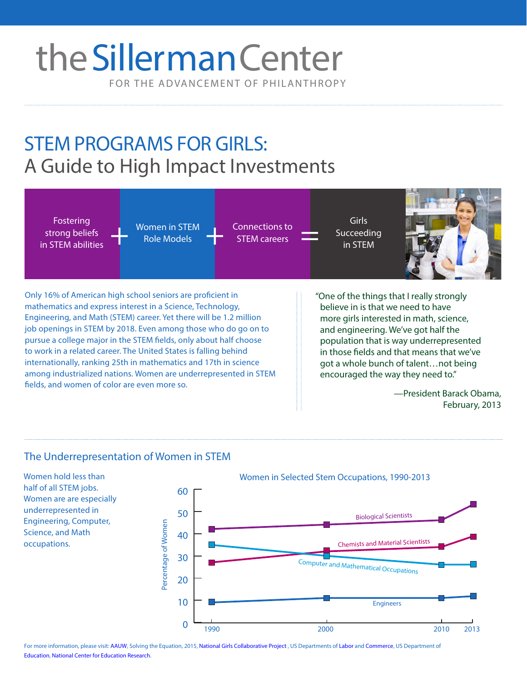# FOR THE ADVANCEMENT OF PHILANTHROPY theSillerman Center

## STEM PROGRAMS FOR GIRLS: A Guide to High Impact Investments



#### The Underrepresentation of Women in STEM

Women hold less than half of all STEM jobs. Women are are especially underrepresented in Engineering, Computer, Science, and Math occupations.



For more information, please visit: [AAUW](http://www.aauw.org/), Solving the Equation, 2015, [National Girls Collaborative Project](http://www.ngcproject.org/), US Departments of [Labor](http://www.dol.gov/dol/aboutdol/history/dolorigabridge.htm) and [Commerce](http://www.commerce.gov/),US Department of [Education, National Center for Educatio](http://ies.ed.gov/ncer/)n Research.